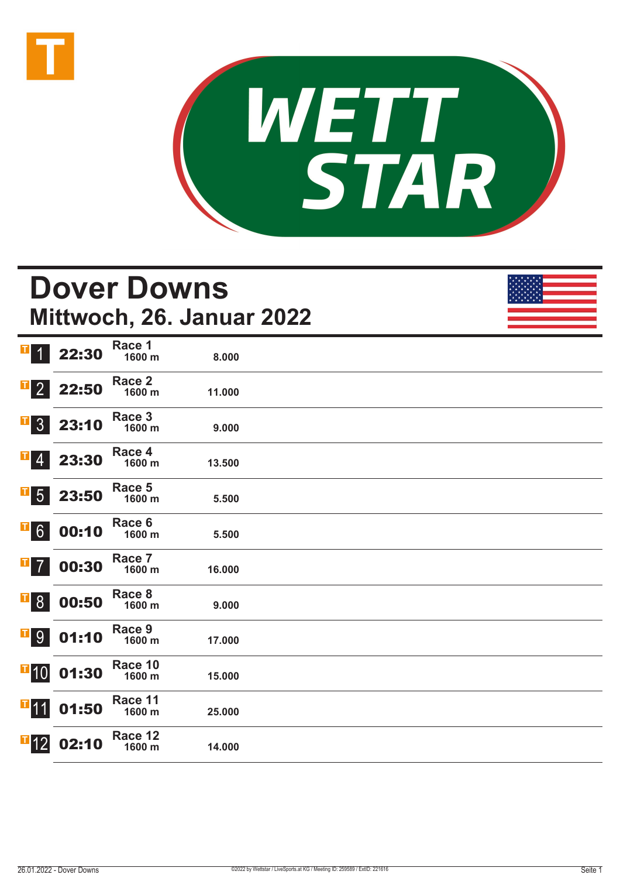



# **Dover Downs Mittwoch, 26. Januar 2022**

| T <br>$\overline{1}$                                              | 22:30 | Race 1<br>1600 m  | 8.000  |  |
|-------------------------------------------------------------------|-------|-------------------|--------|--|
| $\mathbf{F}$ 2                                                    | 22:50 | Race 2<br>1600 m  | 11.000 |  |
| $\overline{1}$ 3                                                  | 23:10 | Race 3<br>1600 m  | 9.000  |  |
| $\overline{\phantom{0}}$ 4                                        | 23:30 | Race 4<br>1600 m  | 13.500 |  |
| $\overline{\phantom{0}}$ 5                                        | 23:50 | Race 5<br>1600 m  | 5.500  |  |
| $\overline{F}$ 6                                                  | 00:10 | Race 6<br>1600 m  | 5.500  |  |
| $\mathbf{T}$ 7                                                    | 00:30 | Race 7<br>1600 m  | 16.000 |  |
| $\overline{1}8$                                                   | 00:50 | Race 8<br>1600 m  | 9.000  |  |
| $\begin{array}{ c c } \hline \textbf{I} & \textbf{9} \end{array}$ | 01:10 | Race 9<br>1600 m  | 17.000 |  |
| $\overline{\textbf{1}}$ 10                                        | 01:30 | Race 10<br>1600 m | 15.000 |  |
| $\blacksquare$ 11                                                 | 01:50 | Race 11<br>1600 m | 25.000 |  |
| $\blacksquare$ 12                                                 | 02:10 | Race 12<br>1600 m | 14.000 |  |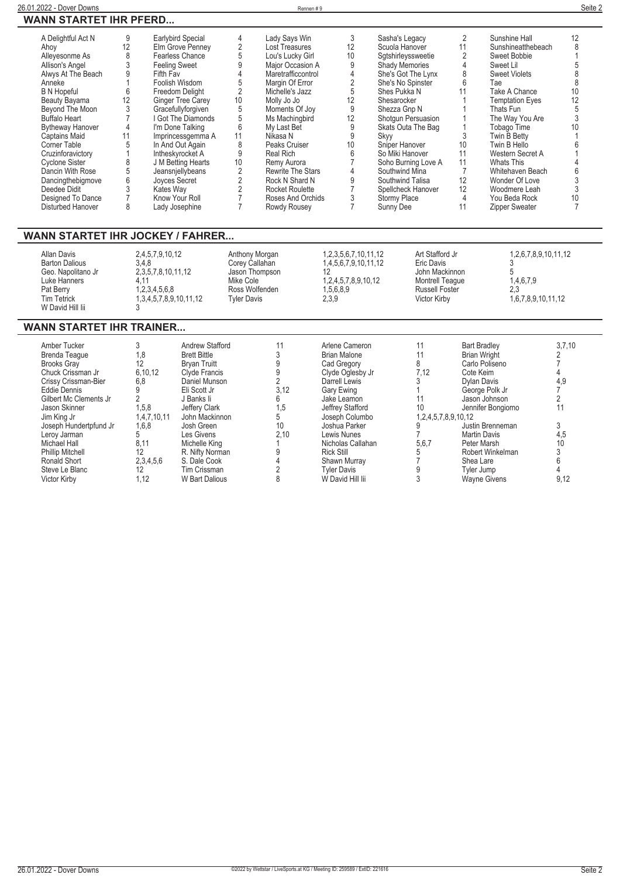| A Delightful Act N<br>Ahoy<br>Alleyesonme As<br>Allison's Angel<br>Alwys At The Beach<br>Anneke<br><b>B N Hopeful</b><br>Beauty Bayama<br>Beyond The Moon<br><b>Buffalo Heart</b><br><b>Bytheway Hanover</b><br><b>Captains Maid</b><br><b>Corner Table</b><br>Cruzinforavictory<br><b>Cyclone Sister</b><br>Dancin With Rose<br>Dancingthebigmove<br>Deedee Didit<br>Designed To Dance<br><b>Disturbed Hanover</b><br><b>WANN STARTET IHR JOCKEY / FAHRER</b> | 9<br>12<br>8<br>3<br>9<br>6<br>12<br>3<br>$\overline{7}$<br>4<br>11<br>5<br>8<br>5<br>6<br>3<br>$\overline{7}$<br>8 | <b>Earlybird Special</b><br>Elm Grove Penney<br>Fearless Chance<br><b>Feeling Sweet</b><br>Fifth Fav<br>Foolish Wisdom<br>Freedom Delight<br>Ginger Tree Carey<br>Gracefullyforgiven<br>I Got The Diamonds<br>I'm Done Talking<br>Imprincessgemma A<br>In And Out Again<br>Intheskyrocket A<br>J M Betting Hearts<br>Jeansnjellybeans<br>Joyces Secret<br>Kates Way<br>Know Your Roll<br>Lady Josephine | $\overline{4}$<br>$\overline{2}$<br>$5\,$<br>$\mathsf g$<br>$\overline{4}$<br>5<br>$\overline{2}$<br>10<br>5<br>$\sqrt{5}$<br>6<br>11<br>8<br>9<br>10<br>$\overline{2}$<br>$\sqrt{2}$<br>$\sqrt{2}$<br>$\overline{7}$<br>$\overline{7}$ | Lady Says Win<br>Lost Treasures<br>Lou's Lucky Girl<br>Major Occasion A<br>Maretrafficcontrol<br>Margin Of Error<br>Michelle's Jazz<br>Molly Jo Jo<br>Moments Of Joy<br>Ms Machingbird<br>My Last Bet<br>Nikasa N<br>Peaks Cruiser<br><b>Real Rich</b><br>Remy Aurora<br><b>Rewrite The Stars</b><br>Rock N Shard N<br><b>Rocket Roulette</b><br>Roses And Orchids<br>Rowdy Rousey | 3<br>12<br>10<br>9<br>4<br>$\overline{2}$<br>5<br>12<br>9<br>12<br>$9\,$<br>$\overline{9}$<br>10<br>6<br>$\overline{7}$<br>4<br>9<br>$\overline{7}$<br>3<br>7 | Sasha's Legacy<br>Scuola Hanover<br>Sgtshirleyssweetie<br><b>Shady Memories</b><br>She's Got The Lynx<br>She's No Spinster<br>Shes Pukka N<br>Shesarocker<br>Shezza Gnp N<br>Shotgun Persuasion<br>Skats Outa The Bag<br>Skyy<br>Sniper Hanover<br>So Miki Hanover<br>Soho Burning Love A<br>Southwind Mina<br>Southwind Talisa<br>Spellcheck Hanover<br><b>Stormy Place</b><br>Sunny Dee |                                                                                                                           | $\overline{2}$<br>11<br>2<br>$\overline{4}$<br>8<br>6<br>11<br>3<br>10<br>11<br>11<br>$\overline{7}$<br>12<br>12<br>4<br>11        | Sunshine Hall<br>Sunshineatthebeach<br>Sweet Bobbie<br>Sweet Lil<br><b>Sweet Violets</b><br>Tae<br>Take A Chance<br><b>Temptation Eyes</b><br>Thats Fun<br>The Way You Are<br><b>Tobago Time</b><br>Twin B Betty<br>Twin B Hello<br>Western Secret A<br><b>Whats This</b><br>Whitehaven Beach<br>Wonder Of Love<br>Woodmere Leah<br>You Beda Rock<br><b>Zipper Sweater</b> | 12<br>8<br>1<br>$\begin{array}{c} 5 \\ 8 \end{array}$<br>$\overline{8}$<br>10<br>12<br>5<br>$\sqrt{3}$<br>10<br>$\mathbf{1}$<br>6<br>4<br>6<br>3<br>3<br>10<br>$\overline{7}$ |  |
|----------------------------------------------------------------------------------------------------------------------------------------------------------------------------------------------------------------------------------------------------------------------------------------------------------------------------------------------------------------------------------------------------------------------------------------------------------------|---------------------------------------------------------------------------------------------------------------------|---------------------------------------------------------------------------------------------------------------------------------------------------------------------------------------------------------------------------------------------------------------------------------------------------------------------------------------------------------------------------------------------------------|-----------------------------------------------------------------------------------------------------------------------------------------------------------------------------------------------------------------------------------------|------------------------------------------------------------------------------------------------------------------------------------------------------------------------------------------------------------------------------------------------------------------------------------------------------------------------------------------------------------------------------------|---------------------------------------------------------------------------------------------------------------------------------------------------------------|-------------------------------------------------------------------------------------------------------------------------------------------------------------------------------------------------------------------------------------------------------------------------------------------------------------------------------------------------------------------------------------------|---------------------------------------------------------------------------------------------------------------------------|------------------------------------------------------------------------------------------------------------------------------------|----------------------------------------------------------------------------------------------------------------------------------------------------------------------------------------------------------------------------------------------------------------------------------------------------------------------------------------------------------------------------|-------------------------------------------------------------------------------------------------------------------------------------------------------------------------------|--|
| <b>Allan Davis</b><br><b>Barton Dalious</b><br>Geo. Napolitano Jr<br>Luke Hanners<br>Pat Berry<br><b>Tim Tetrick</b><br>W David Hill Iii                                                                                                                                                                                                                                                                                                                       | 3.4.8<br>4.11<br>3                                                                                                  | 2,4,5,7,9,10,12<br>2, 3, 5, 7, 8, 10, 11, 12<br>1,2,3,4,5,6,8<br>1, 3, 4, 5, 7, 8, 9, 10, 11, 12                                                                                                                                                                                                                                                                                                        | Anthony Morgan<br>Corey Callahan<br>Mike Cole<br>Ross Wolfenden<br><b>Tyler Davis</b>                                                                                                                                                   | Jason Thompson                                                                                                                                                                                                                                                                                                                                                                     | 1,2,3,5,6,7,10,11,12<br>1,4,5,6,7,9,10,11,12<br>12<br>1,2,4,5,7,8,9,10,12<br>1,5,6,8,9<br>2,3,9                                                               |                                                                                                                                                                                                                                                                                                                                                                                           | Art Stafford Jr<br><b>Eric Davis</b><br>John Mackinnon<br><b>Montrell Teaque</b><br><b>Russell Foster</b><br>Victor Kirby |                                                                                                                                    | 1,2,6,7,8,9,10,11,12<br>3<br>5<br>1,4,6,7,9<br>2.3<br>1,6,7,8,9,10,11,12                                                                                                                                                                                                                                                                                                   |                                                                                                                                                                               |  |
| <b>WANN STARTET IHR TRAINER</b><br>Amber Tucker<br><b>Brenda Teaque</b><br><b>Brooks Gray</b><br>Chuck Crissman Jr<br>Crissy Crissman-Bier<br>Eddie Dennis<br>Gilbert Mc Clements Jr<br>Jason Skinner<br>Jim King Jr                                                                                                                                                                                                                                           | 3<br>1,8<br>12<br>6,10,12<br>6.8<br>9<br>$\overline{2}$<br>1,5,8<br>1,4,7,10,11                                     | <b>Andrew Stafford</b><br><b>Brett Bittle</b><br><b>Bryan Truitt</b><br>Clyde Francis<br>Daniel Munson<br>Eli Scott Jr<br>J Banks li<br>Jeffery Clark<br>John Mackinnon                                                                                                                                                                                                                                 |                                                                                                                                                                                                                                         | 11<br>3<br>9<br>9<br>$\overline{2}$<br>3.12<br>6<br>1.5<br>5                                                                                                                                                                                                                                                                                                                       | Arlene Cameron<br><b>Brian Malone</b><br>Cad Gregory<br>Clyde Oglesby Jr<br>Darrell Lewis<br>Gary Ewing<br>Jake Leamon<br>Jeffrey Stafford<br>Joseph Columbo  |                                                                                                                                                                                                                                                                                                                                                                                           | 11<br>11<br>8<br>7,12<br>3<br>$\mathbf{1}$<br>11<br>10<br>1,2,4,5,7,8,9,10,12                                             | <b>Bart Bradley</b><br><b>Brian Wright</b><br>Carlo Poliseno<br>Cote Keim<br><b>Dylan Davis</b><br>George Polk Jr<br>Jason Johnson | Jennifer Bongiorno                                                                                                                                                                                                                                                                                                                                                         | 3,7,10<br>2<br>$\overline{7}$<br>4<br>4,9<br>$\overline{7}$<br>$\sqrt{2}$<br>11                                                                                               |  |

**Joseph Hundertpfund Jr 1,6,8 Josh Green 10 Joshua Parker 9 Justin Brenneman 3 Leroy Jarman 5 Les Givens 2,10 Lewis Nunes 7 Martin Davis 4,5 Michael Hall 8,11 Michelle King 1 Nicholas Callahan 5,6,7 Peter Marsh 10 Phillip Mitchell 12 R. Nifty Norman 9 Rick Still 5 Robert Winkelman 3 Ronald Short 2,3,4,5,6 S. Dale Cook 4 Shawn Murray 7 Shea Lare 6 Steve Le Blanc 12 Tim Crissman 2 Tyler Davis 9 Tyler Jump 4 Victor Kirby 1,12 W Bart Dalious 8 W David Hill Iii 3 Wayne Givens 9,12**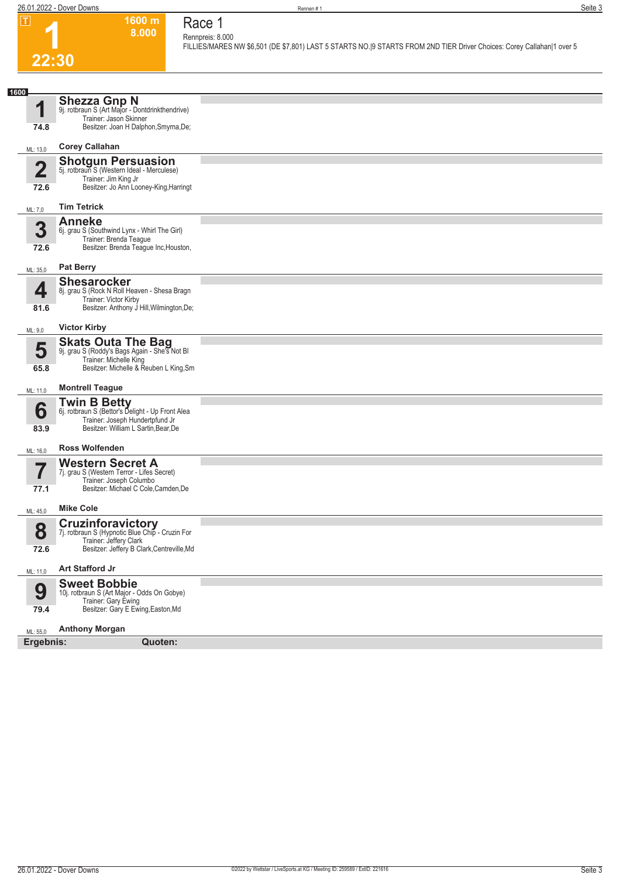| 22:30 |  |  |
|-------|--|--|

**1600 m**

**8.000 Race 1 Rennpreis: 8.000 FILLIES/MARES NW \$6,501 (DE \$7,801) LAST 5 STARTS NO.|9 STARTS FROM 2ND TIER Driver Choices: Corey Callahan|1 over 5** 

| 1600                    |                                                                                                                                             |  |
|-------------------------|---------------------------------------------------------------------------------------------------------------------------------------------|--|
| И                       | <b>Shezza Gnp N</b><br>9j. rotbraun S (Art Major - Dontdrinkthendrive)                                                                      |  |
| 74.8                    | Trainer: Jason Skinner<br>Besitzer: Joan H Dalphon, Smyrna, De;                                                                             |  |
| ML: 13,0                | <b>Corey Callahan</b>                                                                                                                       |  |
| $\overline{\mathbf{2}}$ | <b>Shotgun Persuasion</b><br>5j. rotbraun S (Western Ideal - Merculese)                                                                     |  |
| 72.6                    | Trainer: Jim King Jr<br>Besitzer: Jo Ann Looney-King, Harringt                                                                              |  |
| ML: 7,0                 | <b>Tim Tetrick</b>                                                                                                                          |  |
| 3                       | <b>Anneke</b><br>6j. grau S (Southwind Lynx - Whirl The Girl)<br>Trainer: Brenda Teague                                                     |  |
| 72.6                    | Besitzer: Brenda Teague Inc, Houston,                                                                                                       |  |
| ML: 35,0                | <b>Pat Berry</b>                                                                                                                            |  |
| 4                       | <b>Shesarocker</b><br>8j. grau S (Rock N Roll Heaven - Shesa Bragn<br>Trainer: Victor Kirby                                                 |  |
| 81.6                    | Besitzer: Anthony J Hill, Wilmington, De;                                                                                                   |  |
| ML: 9,0                 | <b>Victor Kirby</b>                                                                                                                         |  |
| 5                       | Skats Outa The Bag<br>9j. grau S (Roddy's Bags Again - She's Not Bl<br>Trainer: Michelle King<br>Besitzer: Michelle & Reuben L King, Sm     |  |
| 65.8                    |                                                                                                                                             |  |
| ML: 11,0                | <b>Montrell Teague</b>                                                                                                                      |  |
| 6<br>83.9               | Twin B Betty<br>6j. rotbraun S (Bettor's Delight - Up Front Alea<br>Trainer: Joseph Hundertpfund Jr<br>Besitzer: William L Sartin, Bear, De |  |
|                         | <b>Ross Wolfenden</b>                                                                                                                       |  |
| ML: 16,0<br>7           | <b>Western Secret A</b><br>7j. grau S (Western Terror - Lifes Secret)                                                                       |  |
| 77.1                    | Trainer: Joseph Columbo<br>Besitzer: Michael C Cole, Camden, De                                                                             |  |
| ML: 45,0                | <b>Mike Cole</b>                                                                                                                            |  |
| 8                       | <b>Cruzinforavictory</b><br>7j. rotbraun S (Hypnotic Blue Chip - Cruzin For<br>Trainer: Jeffery Clark                                       |  |
| 72.6                    | Besitzer: Jeffery B Clark, Centreville, Md                                                                                                  |  |
| ML: 11,0                | <b>Art Stafford Jr</b>                                                                                                                      |  |
| 9                       | <b>Sweet Bobbie</b><br>10j. rotbraun S (Art Major - Odds On Gobye)<br>Trainer: Gary Éwing                                                   |  |
| 79.4                    | Besitzer: Gary E Ewing, Easton, Md                                                                                                          |  |
|                         | <b>Anthony Morgan</b>                                                                                                                       |  |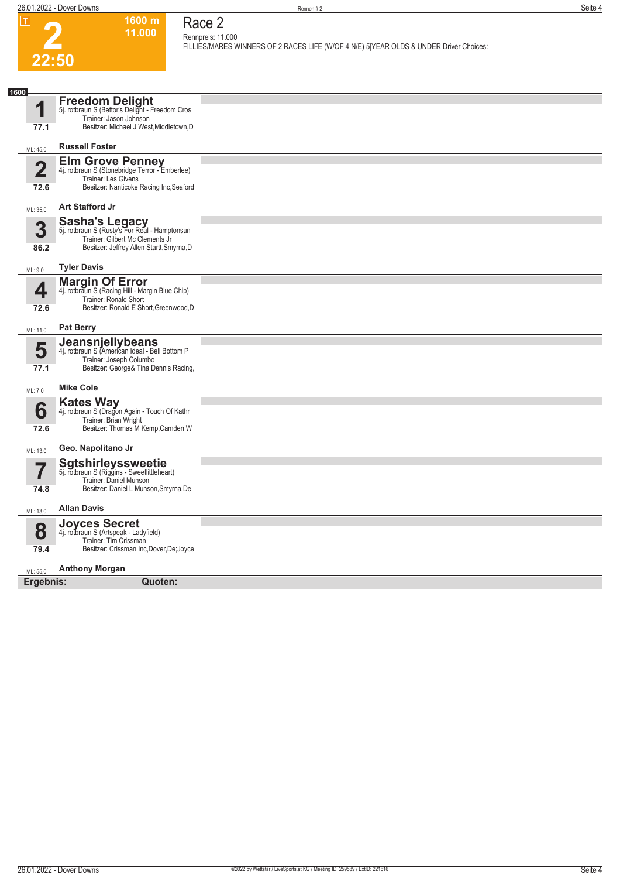

#### **Race 2 Rennpreis: 11.000**

**1600 m 11.000** 

**FILLIES/MARES WINNERS OF 2 RACES LIFE (W/OF 4 N/E) 5|YEAR OLDS & UNDER Driver Choices:** 

| 1600      |                                                                                                                                                        |
|-----------|--------------------------------------------------------------------------------------------------------------------------------------------------------|
| ◀         | <b>Freedom Delight</b><br>5j. rotbraun S (Bettor's Delight - Freedom Cros<br>Trainer: Jason Johnson                                                    |
| 77.1      | Besitzer: Michael J West, Middletown, D                                                                                                                |
| ML: 45,0  | <b>Russell Foster</b>                                                                                                                                  |
| 4<br>Z    | <b>Elm Grove Penney</b><br>4j. rotbraun S (Stonebridge Terror - Emberlee)<br>Trainer: Les Givens                                                       |
| 72.6      | Besitzer: Nanticoke Racing Inc, Seaford                                                                                                                |
| ML: 35,0  | <b>Art Stafford Jr</b>                                                                                                                                 |
| 3<br>86.2 | <b>Sasha's Legacy</b><br>5j. rotbraun S (Rusty's For Real - Hamptonsun<br>Trainer: Gilbert Mc Clements Jr<br>Besitzer: Jeffrey Allen Startt, Smyrna, D |
| ML: 9,0   | <b>Tyler Davis</b>                                                                                                                                     |
| 4<br>72.6 | <b>Margin Of Error</b><br>4j. rotbraun S (Racing Hill - Margin Blue Chip)<br>Trainer: Ronald Short<br>Besitzer: Ronald E Short, Greenwood, D           |
| ML: 11,0  | <b>Pat Berry</b>                                                                                                                                       |
| 5<br>77.1 | <b>Jeansnjellybeans</b><br>4j. rotbraun S (American Ideal - Bell Bottom P<br>Trainer: Joseph Columbo<br>Besitzer: George& Tina Dennis Racing,          |
| ML: 7,0   | <b>Mike Cole</b>                                                                                                                                       |
| 6<br>72.6 | <b>Kates Way</b><br>4j. rotbraun S (Dragon Again - Touch Of Kathr<br>Trainer: Brian Wright<br>Besitzer: Thomas M Kemp, Camden W                        |
| ML: 13,0  | Geo. Napolitano Jr                                                                                                                                     |
|           | Sgtshirleyssweetie<br>5j. rotbraun S (Riggins - Sweetlittleheart)<br>Trainer: Daniel Munson                                                            |
| 74.8      | Besitzer: Daniel L Munson, Smyrna, De                                                                                                                  |
| ML: 13,0  | <b>Allan Davis</b>                                                                                                                                     |
| 8         | <b>Joyces Secret</b><br>4j. rotbraun S (Artspeak - Ladyfield)<br>Trainer: Tim Crissman                                                                 |
| 79.4      | Besitzer: Crissman Inc, Dover, De; Joyce                                                                                                               |
| ML: 55,0  | <b>Anthony Morgan</b>                                                                                                                                  |
| Ergebnis: | Quoten:                                                                                                                                                |
|           |                                                                                                                                                        |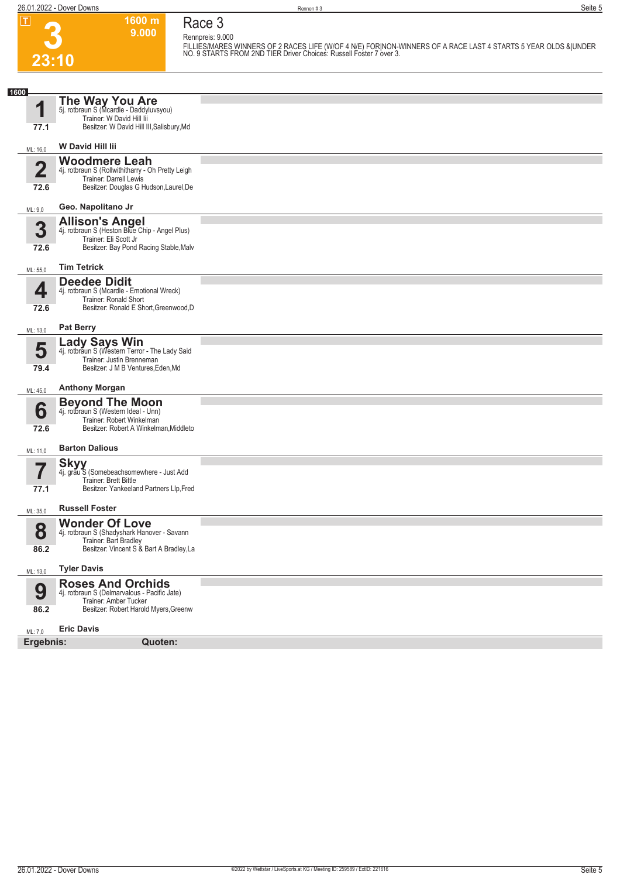**9.000 Race 3 Rennpreis: 9.000**

**1600 m**



FILLIES/MARES WINNERS OF 2 RACES LIFE (W/OF 4 N/E) FOR|NON-WINNERS OF A RACE LAST 4 STARTS 5 YEAR OLDS &|UNDER<br>NO. 9 STARTS FROM 2ND TIER Driver Choices: Russell Foster 7 over 3.

| 1600                   |                                                                                                                                               |  |
|------------------------|-----------------------------------------------------------------------------------------------------------------------------------------------|--|
| И<br>77.1              | The Way You Are<br>5j. rotbraun S (Mcardle - Daddyluvsyou)<br>Trainer: W David Hill Iii<br>Besitzer: W David Hill III, Salisbury, Md          |  |
| ML: 16,0               | W David Hill Iii                                                                                                                              |  |
| $\overline{2}$<br>72.6 | <b>Woodmere Leah</b><br>4j. rotbraun S (Rollwithitharry - Oh Pretty Leigh<br>Trainer: Darrell Lewis<br>Besitzer: Douglas G Hudson, Laurel, De |  |
| ML: 9,0                | Geo. Napolitano Jr                                                                                                                            |  |
| 3<br>72.6              | <b>Allison's Angel</b><br>4j. rotbraun S (Heston Blue Chip - Angel Plus)<br>Trainer: Eli Scott Jr<br>Besitzer: Bay Pond Racing Stable, Malv   |  |
| ML: 55,0               | <b>Tim Tetrick</b>                                                                                                                            |  |
| 4<br>72.6              | <b>Deedee Didit</b><br>4j. rotbraun S (Mcardle - Emotional Wreck)<br>Trainer: Ronald Short<br>Besitzer: Ronald E Short, Greenwood, D          |  |
| ML: 13,0               | <b>Pat Berry</b>                                                                                                                              |  |
| 5<br>79.4              | <b>Lady Says Win</b><br>4j. rotbraun S (Western Terror - The Lady Said<br>Trainer: Justin Brenneman<br>Besitzer: J M B Ventures, Eden, Md     |  |
| ML: 45,0               | <b>Anthony Morgan</b>                                                                                                                         |  |
| 6<br>72.6              | <b>Beyond The Moon</b><br>4j. rotbraun S (Western Ideal - Unn)<br>Trainer: Robert Winkelman<br>Besitzer: Robert A Winkelman, Middleto         |  |
| ML: 11,0               | <b>Barton Dalious</b>                                                                                                                         |  |
| 77.1                   | Skyy<br>4j. grau S (Somebeachsomewhere - Just Add<br>Trainer: Brett Bittle<br>Besitzer: Yankeeland Partners Llp, Fred                         |  |
| ML: 35,0               | <b>Russell Foster</b>                                                                                                                         |  |
| 8<br>86.2              | <b>Wonder Of Love</b><br>4j. rotbraun S (Shadyshark Hanover - Savann<br>Trainer: Bart Bradley<br>Besitzer: Vincent S & Bart A Bradley, La     |  |
| ML: 13,0               | <b>Tyler Davis</b>                                                                                                                            |  |
| 9<br>86.2              | <b>Roses And Orchids</b><br>4j. rotbraun S (Delmarvalous - Pacific Jate)<br>Trainer: Amber Tucker<br>Besitzer: Robert Harold Myers, Greenw    |  |
|                        | <b>Eric Davis</b>                                                                                                                             |  |
| ML: 7,0<br>Ergebnis:   | Quoten:                                                                                                                                       |  |
|                        |                                                                                                                                               |  |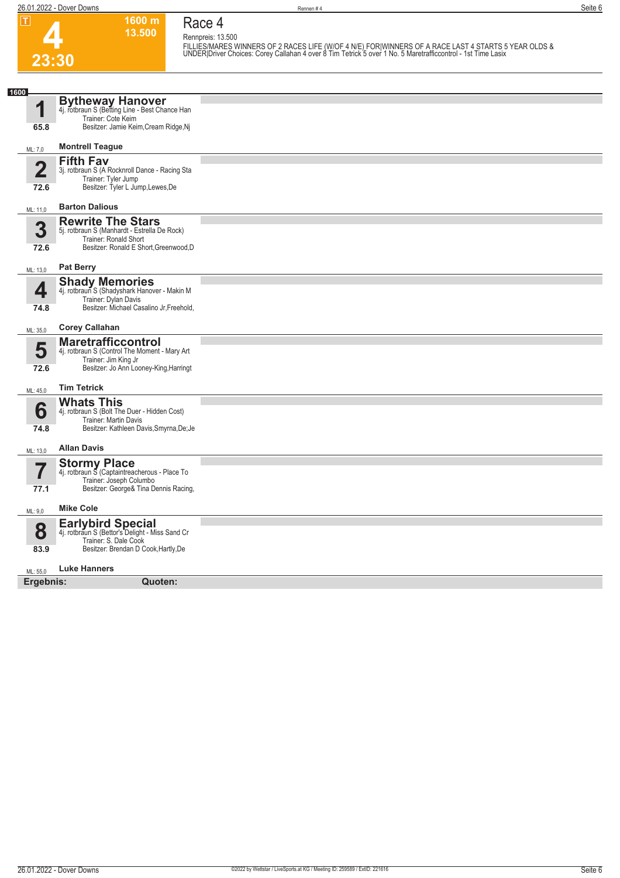

### **Race 4**

**1600 m 13.500** 

**Rennpreis: 13.500**

FILLIES/MARES WINNERS OF 2 RACES LIFE (W/OF 4 N/E) FOR|WINNERS OF A RACE LAST 4 STARTS 5 YEAR OLDS &<br>UNDER|Driver Choices: Corey Callahan 4 over 8 Tim Tetrick 5 over 1 No. 5 Maretrafficcontrol - 1st Time Lasix

| 1600                    |                                                                                                                                             |  |
|-------------------------|---------------------------------------------------------------------------------------------------------------------------------------------|--|
| 1                       | <b>Bytheway Hanover</b><br>4j. rotbraun S (Betting Line - Best Chance Han<br>Trainer: Cote Keim                                             |  |
| 65.8                    | Besitzer: Jamie Keim, Cream Ridge, Nj                                                                                                       |  |
| ML: 7,0                 | <b>Montrell Teague</b>                                                                                                                      |  |
| $\overline{\mathbf{2}}$ | <b>Fifth Fav</b><br>3j. rotbraun S (A Rocknroll Dance - Racing Sta<br>Trainer: Tyler Jump                                                   |  |
| 72.6                    | Besitzer: Tyler L Jump, Lewes, De                                                                                                           |  |
| ML: 11,0                | <b>Barton Dalious</b>                                                                                                                       |  |
| 3<br>72.6               | <b>Rewrite The Stars</b><br>5j. rotbraun S (Manhardt - Estrella De Rock)<br>Trainer: Ronald Short<br>Besitzer: Ronald E Short, Greenwood, D |  |
| ML: 13,0                | <b>Pat Berry</b>                                                                                                                            |  |
|                         | <b>Shady Memories</b><br>4j. rotbraun S (Shadyshark Hanover - Makin M                                                                       |  |
| 4                       | Trainer: Dylan Davis                                                                                                                        |  |
| 74.8                    | Besitzer: Michael Casalino Jr, Freehold,                                                                                                    |  |
| ML: 35,0                | <b>Corey Callahan</b>                                                                                                                       |  |
| 5                       | <b>Maretrafficcontrol</b><br>4j. rotbraun S (Control The Moment - Mary Art                                                                  |  |
|                         | Trainer: Jim King Jr                                                                                                                        |  |
| 72.6                    | Besitzer: Jo Ann Looney-King, Harringt                                                                                                      |  |
| ML: 45,0                | <b>Tim Tetrick</b>                                                                                                                          |  |
| 6                       | <b>Whats This</b>                                                                                                                           |  |
|                         | 4j. rotbraun S (Bolt The Duer - Hidden Cost)<br>Trainer: Martin Davis                                                                       |  |
| 74.8                    | Besitzer: Kathleen Davis, Smyrna, De; Je                                                                                                    |  |
| ML: 13,0                | <b>Allan Davis</b>                                                                                                                          |  |
| 7                       | <b>Stormy Place</b><br>4j. rotbraun S (Captaintreacherous - Place To                                                                        |  |
|                         | Trainer: Joseph Columbo                                                                                                                     |  |
| 77.1                    | Besitzer: George& Tina Dennis Racing,                                                                                                       |  |
| ML: 9,0                 | <b>Mike Cole</b>                                                                                                                            |  |
|                         | <b>Earlybird Special</b>                                                                                                                    |  |
| 8                       | 4j. rotbraun S (Bettor's Delight - Miss Sand Cr<br>Trainer: S. Dale Cook                                                                    |  |
| 83.9                    | Besitzer: Brendan D Cook, Hartly, De                                                                                                        |  |
| ML: 55,0                | <b>Luke Hanners</b>                                                                                                                         |  |
| Ergebnis:               | Quoten:                                                                                                                                     |  |
|                         |                                                                                                                                             |  |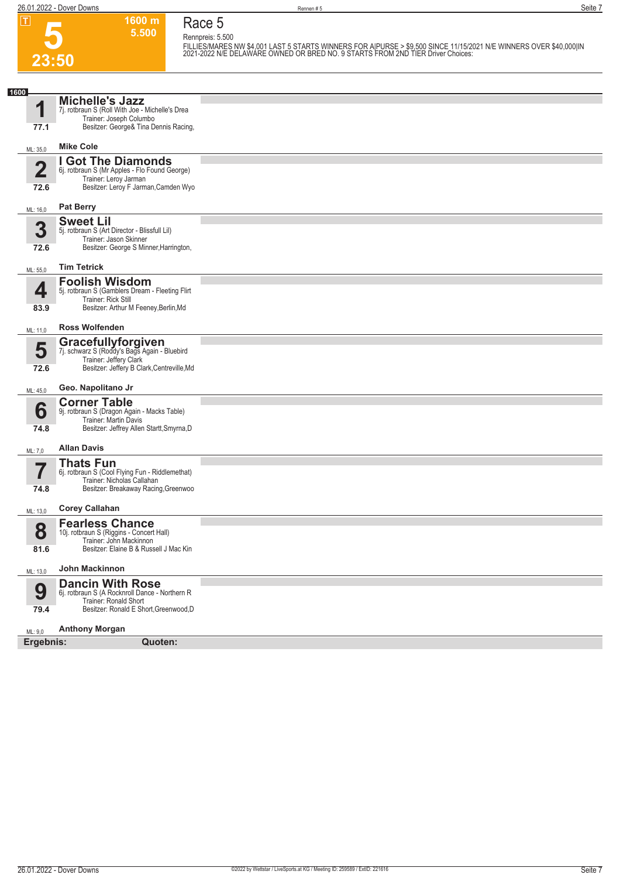**5 23:50**

**Race 5 Rennpreis: 5.500**

**1600 m 5.500** 

FILLIES/MARES NW \$4,001 LAST 5 STARTS WINNERS FOR AIPURSE > \$9,500 SINCE 11/15/2021 N/E WINNERS OVER \$40,000|IN<br>2021-2022 N/E DELAWARE OWNED OR BRED NO. 9 STARTS FROM 2ND TIER Driver Choices:

| 1600                            |                                                                                                                                                   |  |
|---------------------------------|---------------------------------------------------------------------------------------------------------------------------------------------------|--|
| и<br>77.1                       | <b>Michelle's Jazz</b><br>7j. rotbraun S (Roll With Joe - Michelle's Drea<br>Trainer: Joseph Columbo<br>Besitzer: George& Tina Dennis Racing,     |  |
| ML: 35,0                        | <b>Mike Cole</b>                                                                                                                                  |  |
| $\overline{\mathbf{2}}$<br>72.6 | <b>I Got The Diamonds</b><br>6j. rotbraun S (Mr Apples - Flo Found George)<br>Trainer: Leroy Jarman<br>Besitzer: Leroy F Jarman, Camden Wyo       |  |
| ML: 16,0                        | <b>Pat Berry</b>                                                                                                                                  |  |
| 3<br>72.6                       | <b>Sweet Lil</b><br>5j. rotbraun S (Art Director - Blissfull Lil)<br>Trainer: Jason Skinner<br>Besitzer: George S Minner, Harrington,             |  |
| ML: 55,0                        | <b>Tim Tetrick</b>                                                                                                                                |  |
| 4<br>83.9                       | <b>Foolish Wisdom</b><br>5j. rotbraun S (Gamblers Dream - Fleeting Flirt<br>Trainer: Rick Still<br>Besitzer: Arthur M Feeney, Berlin, Md          |  |
| ML: 11,0                        | <b>Ross Wolfenden</b>                                                                                                                             |  |
| 5<br>72.6                       | <b>Gracefullyforgiven</b><br>7j. schwarz S (Roddy's Bags Again - Bluebird<br>Trainer: Jeffery Clark<br>Besitzer: Jeffery B Clark, Centreville, Md |  |
| ML: 45,0                        | Geo. Napolitano Jr                                                                                                                                |  |
| 6<br>74.8                       | <b>Corner Table</b><br>9j. rotbraun S (Dragon Again - Macks Table)<br>Trainer: Martin Davis<br>Besitzer: Jeffrey Allen Startt, Smyrna, D          |  |
| ML: 7,0                         | <b>Allan Davis</b>                                                                                                                                |  |
| 74.8                            | <b>Thats Fun</b><br>6j. rotbraun S (Cool Flying Fun - Riddlemethat)<br>Trainer: Nicholas Callahan<br>Besitzer: Breakaway Racing, Greenwoo         |  |
| ML: 13,0                        | <b>Corey Callahan</b>                                                                                                                             |  |
| 8<br>81.6                       | <b>Fearless Chance</b><br>10j. rotbraun S (Riggins - Concert Hall)<br>Trainer: John Mackinnon<br>Besitzer: Elaine B & Russell J Mac Kin           |  |
| ML: 13,0                        | John Mackinnon                                                                                                                                    |  |
| 9<br>79.4                       | <b>Dancin With Rose</b><br>6j. rotbraun S (A Rocknroll Dance - Northern R<br>Trainer: Ronald Short<br>Besitzer: Ronald E Short.Greenwood.D        |  |
| ML: 9,0                         | <b>Anthony Morgan</b>                                                                                                                             |  |
| Ergebnis:                       | Quoten:                                                                                                                                           |  |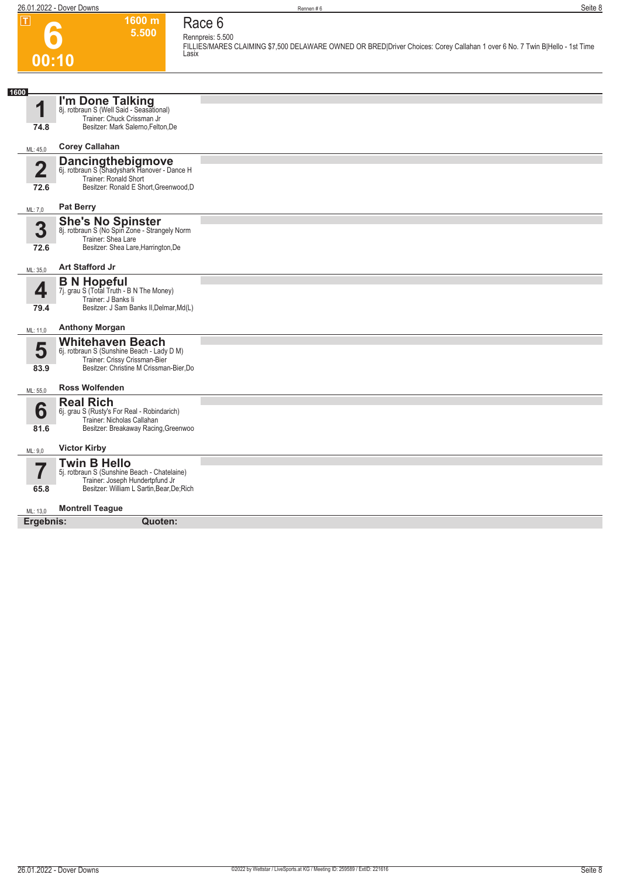

#### **Race 6 Rennpreis: 5.500**

**1600 m 5.500** 

**FILLIES/MARES CLAIMING \$7,500 DELAWARE OWNED OR BRED|Driver Choices: Corey Callahan 1 over 6 No. 7 Twin B|Hello - 1st Time Lasix** 

| 1600           |                                                                                 |  |
|----------------|---------------------------------------------------------------------------------|--|
|                | I'm Done Talking<br>8j. rotbraun S (Well Said - Seasational)                    |  |
|                | Trainer: Chuck Crissman Jr                                                      |  |
| 74.8           | Besitzer: Mark Salerno, Felton, De                                              |  |
| ML: 45,0       | <b>Corey Callahan</b>                                                           |  |
|                | <b>Dancingthebigmove</b><br>6j. rotbraun S (Shadyshark Hanover - Dance H        |  |
| $\overline{2}$ | Trainer: Ronald Short                                                           |  |
| 72.6           | Besitzer: Ronald E Short, Greenwood, D                                          |  |
| ML: 7,0        | <b>Pat Berry</b>                                                                |  |
|                |                                                                                 |  |
| 3              | She's No Spinster<br>8j. rotbraun S (No Spin Zone - Strangely Norm              |  |
|                | Trainer: Shea Lare                                                              |  |
| 72.6           | Besitzer: Shea Lare, Harrington, De                                             |  |
| ML: 35,0       | Art Stafford Jr                                                                 |  |
|                | <b>B N Hopeful</b><br>7j. grau S (Total Truth - B N The Money)                  |  |
| 4              | Trainer: J Banks li                                                             |  |
| 79.4           | Besitzer: J Sam Banks II, Delmar, Md(L)                                         |  |
|                |                                                                                 |  |
| ML: 11,0       | <b>Anthony Morgan</b>                                                           |  |
|                | <b>Whitehaven Beach</b>                                                         |  |
| 5              | 6j. rotbraun S (Sunshine Beach - Lady D M)                                      |  |
| 83.9           | Trainer: Crissy Crissman-Bier<br>Besitzer: Christine M Crissman-Bier, Do        |  |
|                |                                                                                 |  |
| ML: 55,0       | <b>Ross Wolfenden</b>                                                           |  |
|                | <b>Real Rich</b>                                                                |  |
| 6              | 6j. grau S (Rusty's For Real - Robindarich)<br>Trainer: Nicholas Callahan       |  |
| 81.6           | Besitzer: Breakaway Racing, Greenwoo                                            |  |
|                |                                                                                 |  |
| ML: 9,0        | <b>Victor Kirby</b>                                                             |  |
| 7              | <b>Twin B Hello</b>                                                             |  |
|                | 5j. rotbraun S (Sunshine Beach - Chatelaine)<br>Trainer: Joseph Hundertpfund Jr |  |
| 65.8           | Besitzer: William L Sartin, Bear, De; Rich                                      |  |
| ML: 13,0       | <b>Montrell Teague</b>                                                          |  |
| Ergebnis:      | Quoten:                                                                         |  |
|                |                                                                                 |  |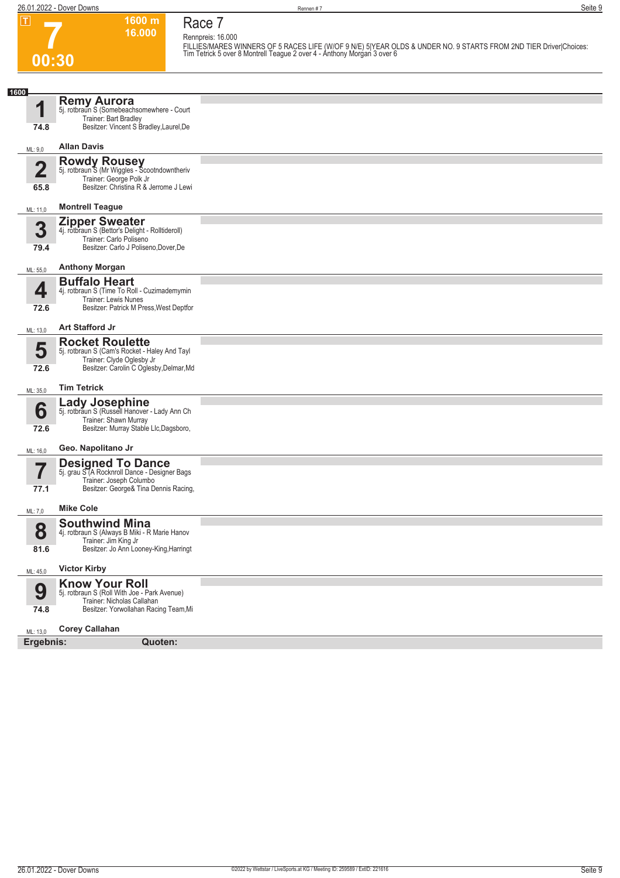# **7 00:30**

**Race 7**

**1600 m 16.000** 

**Rennpreis: 16.000**

FILLIES/MARES WINNERS OF 5 RACES LIFE (W/OF 9 N/E) 5|YEAR OLDS & UNDER NO. 9 STARTS FROM 2ND TIER Driver|Choices:<br>Tim Tetrick 5 over 8 Montrell Teague 2 over 4 - Anthony Morgan 3 over 6 **1 1600** ML: 9,0 **74.8 Remy Aurora** 5j. rotbraun S (Somebeachsomewhere - Court Trainer: Bart Bradley Besitzer: Vincent S Bradley, Laurel, De **Allan Davis 2** ML: 11,0 **65.8 Rowdy Rousey**<br>5j. rotbraun S (Mr Wiggles - Scootndowntheriv<br>Trainer: George Polk Jr Besitzer: Christina R & Jerrome J Lewi **Montrell Teague 3** ML: 55,0 **79.4 Zipper Sweater** 4j. rotbraun S (Bettor's Delight - Rolltideroll) Trainer: Carlo Poliseno Besitzer: Carlo J Poliseno,Dover,De **Anthony Morgan 4** ML: 13,0 **72.6 Buffalo Heart** 4j. rotbraun S (Time To Roll - Cuzimademymin Trainer: Lewis Nunes Besitzer: Patrick M Press,West Deptfor **Art Stafford Jr 5** ML: 35,0 **72.6 Rocket Roulette** 5j. rotbraun S (Cam's Rocket - Haley And Tayl Trainer: Clyde Oglesby Jr Besitzer: Carolin C Oglesby,Delmar,Md **Tim Tetrick 6** ML: 16,0 **72.6 Lady Josephine** 5j. rotbraun S (Russell Hanover - Lady Ann Ch Trainer: Shawn Murray Besitzer: Murray Stable Llc,Dagsboro, **Geo. Napolitano Jr 7** ML: 7,0 **77.1 Designed To Dance** 5j. grau S (A Rocknroll Dance - Designer Bags Trainer: Joseph Columbo Besitzer: George& Tina Dennis Racing, **Mike Cole 8** ML: 45,0 **81.6 Southwind Mina** 4j. rotbraun S (Always B Miki - R Marie Hanov Trainer: Jim King Jr Besitzer: Jo Ann Looney-King,Harringt **Victor Kirby 9 74.8 Know Your Roll** 5j. rotbraun S (Roll With Joe - Park Avenue) adh o (Roll With Coc Frainch) Besitzer: Yorwollahan Racing Team,Mi

#### ML: 13,0 **Corey Callahan**

**Ergebnis: Quoten:**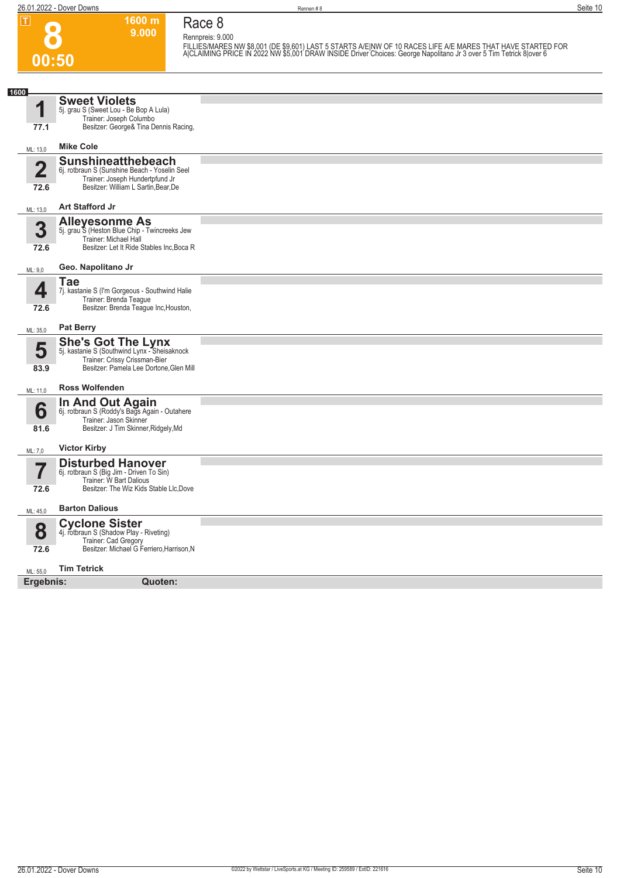**8**

**00:50**

**Race 8 Rennpreis: 9.000**

**9.000** 

**1600 m**

FILLIES/MARES NW \$8,001 (DE \$9,601) LAST 5 STARTS A/E|NW OF 10 RACES LIFE A/E MARES THAT HAVE STARTED FOR<br>A|CLAIMING PRICE IN 2022 NW \$5,001 DRAW INSIDE Driver Choices: George Napolitano Jr 3 over 5 Tim Tetrick 8|over 6

| 1600                                  |                                                                                                                                                                                |  |
|---------------------------------------|--------------------------------------------------------------------------------------------------------------------------------------------------------------------------------|--|
| 1<br>77.1                             | <b>Sweet Violets</b><br>5j. grau S (Sweet Lou - Be Bop A Lula)<br>Trainer: Joseph Columbo<br>Besitzer: George& Tina Dennis Racing,                                             |  |
| ML: 13,0                              | <b>Mike Cole</b>                                                                                                                                                               |  |
| $\mathbf{2}$<br>72.6                  | Sunshineatthebeach<br>6j. rotbraun S (Sunshine Beach - Yoselin Seel<br>Trainer: Joseph Hundertpfund Jr<br>Besitzer: William L Sartin, Bear, De                                 |  |
| ML: 13,0                              | <b>Art Stafford Jr</b>                                                                                                                                                         |  |
| 3<br>72.6                             | Alleyesonme As<br>5j. grau S (Heston Blue Chip - Twincreeks Jew<br>Trainer: Michael Hall<br>Besitzer: Let It Ride Stables Inc, Boca R                                          |  |
| ML: 9,0                               | Geo. Napolitano Jr                                                                                                                                                             |  |
| 4<br>72.6                             | <b>Tae</b><br>7j. kastanie S (I'm Gorgeous - Southwind Halie<br>Trainer: Brenda Teague<br>Besitzer: Brenda Teague Inc, Houston,                                                |  |
| ML: 35,0                              | <b>Pat Berry</b>                                                                                                                                                               |  |
| 5<br>83.9<br>ML: 11,0                 | <b>She's Got The Lynx</b><br>5j. kastanie S (Southwind Lynx - Sheisaknock<br>Trainer: Crissy Crissman-Bier<br>Besitzer: Pamela Lee Dortone, Glen Mill<br><b>Ross Wolfenden</b> |  |
| 6<br>81.6                             | <b>In And Out Again</b><br>6j. rotbraun S (Roddy's Bags Again - Outahere<br>Trainer: Jason Skinner<br>Besitzer: J Tim Skinner, Ridgely, Md                                     |  |
| ML: 7,0                               | <b>Victor Kirby</b>                                                                                                                                                            |  |
| $\overline{\phantom{a}}$<br>I<br>72.6 | <b>Disturbed Hanover</b><br>6j. rotbraun S (Big Jim - Driven To Sin)<br>Trainer: W Bart Dalious<br>Besitzer: The Wiz Kids Stable Llc, Dove                                     |  |
| ML: 45,0                              | <b>Barton Dalious</b>                                                                                                                                                          |  |
| 8<br>72.6                             | <b>Cyclone Sister</b><br>4j. rotbraun S (Shadow Play - Riveting)<br>Trainer: Cad Gregory<br>Besitzer: Michael G Ferriero, Harrison, N                                          |  |
| ML: 55.0                              | <b>Tim Tetrick</b>                                                                                                                                                             |  |
| Ergebnis:                             | Quoten:                                                                                                                                                                        |  |
|                                       |                                                                                                                                                                                |  |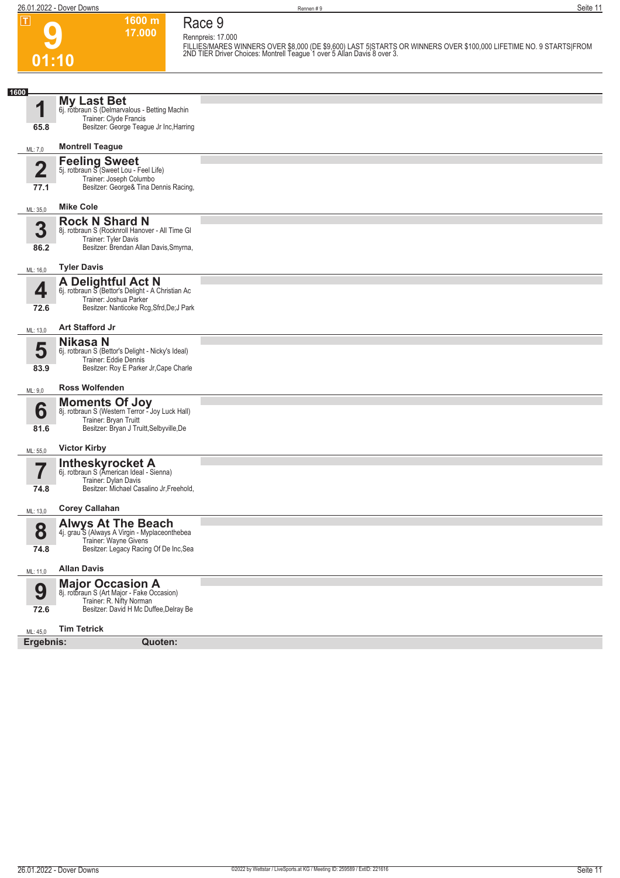# **9 01:10**

**Race 9**

**1600 m 17.000** 

**Rennpreis: 17.000** FILLIES/MARES WINNERS OVER \$8,000 (DE \$9,600) LAST 5|STARTS OR WINNERS OVER \$100,000 LIFETIME NO. 9 STARTS|FROM<br>2ND TIER Driver Choices: Montrell Teague 1 over 5 Allan Davis 8 over 3.

| 1600                    |                                                                                                                                          |  |
|-------------------------|------------------------------------------------------------------------------------------------------------------------------------------|--|
| 4<br>65.8               | <b>My Last Bet</b><br>6j. rotbraun S (Delmarvalous - Betting Machin<br>Trainer: Clyde Francis<br>Besitzer: George Teague Jr Inc, Harring |  |
| ML: 7,0                 | <b>Montrell Teague</b>                                                                                                                   |  |
|                         |                                                                                                                                          |  |
| $\overline{\mathbf{2}}$ | Feeling Sweet<br>5j. rotbraun S (Sweet Lou - Feel Life)                                                                                  |  |
| 77.1                    | Trainer: Joseph Columbo<br>Besitzer: George& Tina Dennis Racing,                                                                         |  |
| ML: 35,0                | <b>Mike Cole</b>                                                                                                                         |  |
| 3                       | <b>Rock N Shard N</b><br>8j. rotbraun S (Rocknroll Hanover - All Time Gl                                                                 |  |
|                         | Trainer: Tyler Davis                                                                                                                     |  |
| 86.2                    | Besitzer: Brendan Allan Davis, Smyrna,                                                                                                   |  |
| ML: 16,0                | <b>Tyler Davis</b>                                                                                                                       |  |
| 4                       | A Delightful Act N<br>6j. rotbraun S (Bettor's Delight - A Christian Ac                                                                  |  |
| 72.6                    | Trainer: Joshua Parker<br>Besitzer: Nanticoke Rcg, Sfrd, De; J Park                                                                      |  |
| ML: 13,0                | <b>Art Stafford Jr</b>                                                                                                                   |  |
|                         | Nikasa N                                                                                                                                 |  |
| 5                       | 6j. rotbraun S (Bettor's Delight - Nicky's Ideal)<br>Trainer: Eddie Dennis                                                               |  |
| 83.9                    | Besitzer: Roy E Parker Jr, Cape Charle                                                                                                   |  |
| ML: 9,0                 | <b>Ross Wolfenden</b>                                                                                                                    |  |
|                         | <b>Moments Of Joy</b>                                                                                                                    |  |
| 6                       | 8j. rotbraun S (Western Terror - Joy Luck Hall)<br>Trainer: Bryan Truitt                                                                 |  |
| 81.6                    | Besitzer: Bryan J Truitt, Selbyville, De                                                                                                 |  |
| ML: 55,0                | <b>Victor Kirby</b>                                                                                                                      |  |
|                         | <b>Intheskyrocket A</b>                                                                                                                  |  |
| 7                       | 6j. rotbraun S (American Ideal - Sienna)<br>Trainer: Dylan Davis                                                                         |  |
| 74.8                    | Besitzer: Michael Casalino Jr, Freehold,                                                                                                 |  |
| ML: 13,0                | <b>Corey Callahan</b>                                                                                                                    |  |
|                         | <b>Alwys At The Beach</b>                                                                                                                |  |
| 8                       | 4j. grau S (Always A Virgin - Myplaceonthebea<br>Trainer: Wayne Givens                                                                   |  |
| 74.8                    | Besitzer: Legacy Racing Of De Inc, Sea                                                                                                   |  |
| ML: 11,0                | <b>Allan Davis</b>                                                                                                                       |  |
| 9                       | <b>Major Occasion A</b><br>8j. rotbraun S (Art Major - Fake Occasion)                                                                    |  |
|                         | Trainer: R. Nifty Norman                                                                                                                 |  |
| 72.6                    | Besitzer: David H Mc Duffee, Delray Be                                                                                                   |  |
| ML: 45,0                | <b>Tim Tetrick</b>                                                                                                                       |  |
| Ergebnis:               | Quoten:                                                                                                                                  |  |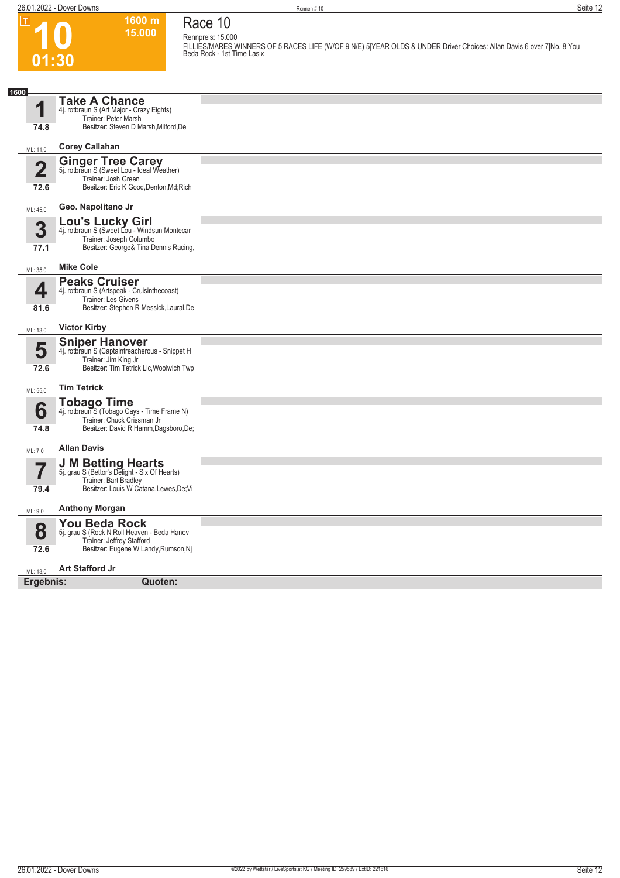**10**

 $\boxed{1}$ 

**01:30**

**Race 10**

**Rennpreis: 15.000**

**1600 m 15.000** 

**FILLIES/MARES WINNERS OF 5 RACES LIFE (W/OF 9 N/E) 5|YEAR OLDS & UNDER Driver Choices: Allan Davis 6 over 7|No. 8 You Beda Rock - 1st Time Lasix** 

| 1600        |                                                                                                                                          |  |
|-------------|------------------------------------------------------------------------------------------------------------------------------------------|--|
|             | <b>Take A Chance</b>                                                                                                                     |  |
| 1           | 4j. rotbraun S (Art Major - Crazy Eights)<br>Trainer: Peter Marsh                                                                        |  |
| 74.8        | Besitzer: Steven D Marsh, Milford, De                                                                                                    |  |
| ML: 11,0    | <b>Corey Callahan</b>                                                                                                                    |  |
| $\mathbf 2$ | <b>Ginger Tree Carey</b><br>5j. rotbraun S (Sweet Lou - Ideal Weather)<br>Trainer: Josh Green                                            |  |
| 72.6        | Besitzer: Eric K Good, Denton, Md; Rich                                                                                                  |  |
| ML: 45,0    | Geo. Napolitano Jr                                                                                                                       |  |
| 3           | Lou's Lucky Girl<br>4j. rotbraun S (Sweet Lou - Windsun Montecar<br>Trainer: Joseph Columbo                                              |  |
| 77.1        | Besitzer: George& Tina Dennis Racing,                                                                                                    |  |
| ML: 35,0    | <b>Mike Cole</b>                                                                                                                         |  |
| 4           | <b>Peaks Cruiser</b><br>4j. rotbraun S (Artspeak - Cruisinthecoast)                                                                      |  |
| 81.6        | Trainer: Les Givens<br>Besitzer: Stephen R Messick, Laural, De                                                                           |  |
|             |                                                                                                                                          |  |
| ML: 13,0    | <b>Victor Kirby</b>                                                                                                                      |  |
| 5           | <b>Sniper Hanover</b><br>4j. rotbraun S (Captaintreacherous - Snippet H<br>Trainer: Jim King Jr                                          |  |
| 72.6        | Besitzer: Tim Tetrick Llc, Woolwich Twp                                                                                                  |  |
| ML: 55,0    | <b>Tim Tetrick</b>                                                                                                                       |  |
| 6<br>74.8   | <b>Tobago Time</b><br>4j. rotbraun S (Tobago Cays - Time Frame N)<br>Trainer: Chuck Crissman Jr<br>Besitzer: David R Hamm, Dagsboro, De; |  |
| ML: 7,0     | <b>Allan Davis</b>                                                                                                                       |  |
| 7           | <b>J M Betting Hearts</b><br>5j. grau S (Bettor's Delight - Six Of Hearts)                                                               |  |
| 79.4        | Trainer: Bart Bradley<br>Besitzer: Louis W Catana, Lewes, De; Vi                                                                         |  |
| ML: 9,0     | <b>Anthony Morgan</b>                                                                                                                    |  |
|             | <b>You Beda Rock</b>                                                                                                                     |  |
| 8           | 5j. grau S (Rock N Roll Heaven - Beda Hanov<br>Trainer: Jeffrey Stafford                                                                 |  |
| 72.6        | Besitzer: Eugene W Landy, Rumson, Nj                                                                                                     |  |
| ML: 13,0    | <b>Art Stafford Jr</b>                                                                                                                   |  |
| Ergebnis:   | Quoten:                                                                                                                                  |  |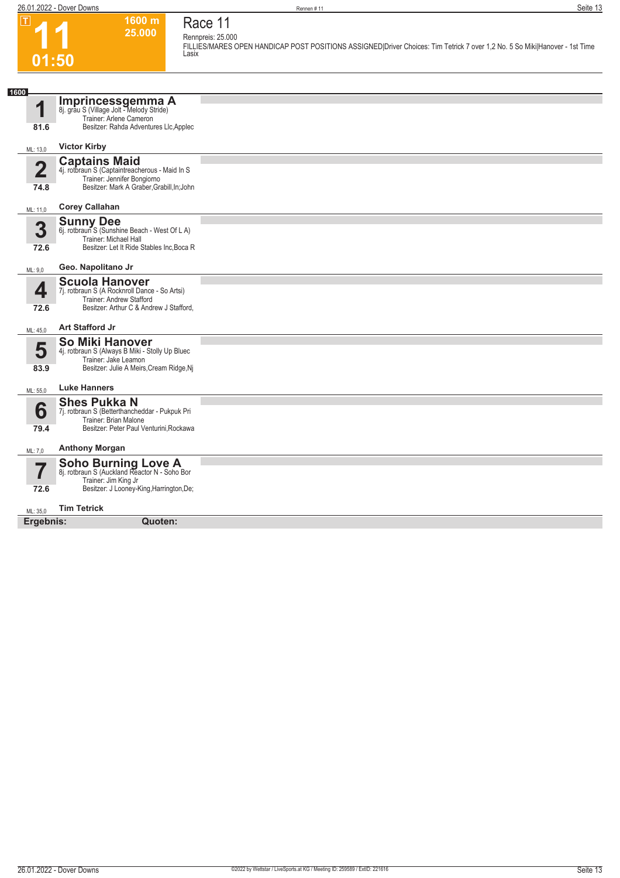

 $|\mathsf{T}|$ 

## **Race 11**

**1600 m 25.000** 

**Rennpreis: 25.000 FILLIES/MARES OPEN HANDICAP POST POSITIONS ASSIGNED|Driver Choices: Tim Tetrick 7 over 1,2 No. 5 So Miki|Hanover - 1st Time Lasix** 

| 1600                            |                                                                                                                                                     |  |
|---------------------------------|-----------------------------------------------------------------------------------------------------------------------------------------------------|--|
| 1<br>81.6                       | <b>Imprincessgemma A</b> 8j. grau S (Village Jolt - Melody Stride)<br>Trainer: Arlene Cameron<br>Besitzer: Rahda Adventures Llc, Applec             |  |
|                                 |                                                                                                                                                     |  |
| ML: 13,0                        | <b>Victor Kirby</b>                                                                                                                                 |  |
| $\overline{\mathbf{2}}$<br>74.8 | <b>Captains Maid</b><br>4j. rotbraun S (Captaintreacherous - Maid In S<br>Trainer: Jennifer Bongiorno<br>Besitzer: Mark A Graber, Grabill, In; John |  |
| ML: 11,0                        | <b>Corey Callahan</b>                                                                                                                               |  |
| 3<br>72.6                       | <b>Sunny Dee</b><br>6j. rotbraun S (Sunshine Beach - West Of L A)<br>Trainer: Michael Hall<br>Besitzer: Let It Ride Stables Inc. Boca R             |  |
| ML: 9,0                         | Geo. Napolitano Jr                                                                                                                                  |  |
| 4<br>72.6                       | <b>Scuola Hanover</b><br>7j. rotbraun S (A Rocknroll Dance - So Artsi)<br>Trainer: Andrew Stafford<br>Besitzer: Arthur C & Andrew J Stafford,       |  |
| ML: 45,0                        | <b>Art Stafford Jr</b>                                                                                                                              |  |
| 5<br>83.9                       | <b>So Miki Hanover</b><br>4j. rotbraun S (Always B Miki - Stolly Up Bluec<br>Trainer: Jake Leamon<br>Besitzer: Julie A Meirs, Cream Ridge, Nj       |  |
| ML: 55,0                        | <b>Luke Hanners</b>                                                                                                                                 |  |
| 6<br>79.4                       | <b>Shes Pukka N</b><br>7j. rotbraun S (Betterthancheddar - Pukpuk Pri<br>Trainer: Brian Malone<br>Besitzer: Peter Paul Venturini, Rockawa           |  |
| ML: 7,0                         | <b>Anthony Morgan</b>                                                                                                                               |  |
| $\rightarrow$<br>72.6           | <b>Soho Burning Love A</b> 8j. rotbraun S (Auckland Reactor N - Soho Bor<br>Trainer: Jim King Jr<br>Besitzer: J Looney-King, Harrington, De;        |  |
| ML: 35,0                        | <b>Tim Tetrick</b>                                                                                                                                  |  |
| Ergebnis:                       | Quoten:                                                                                                                                             |  |